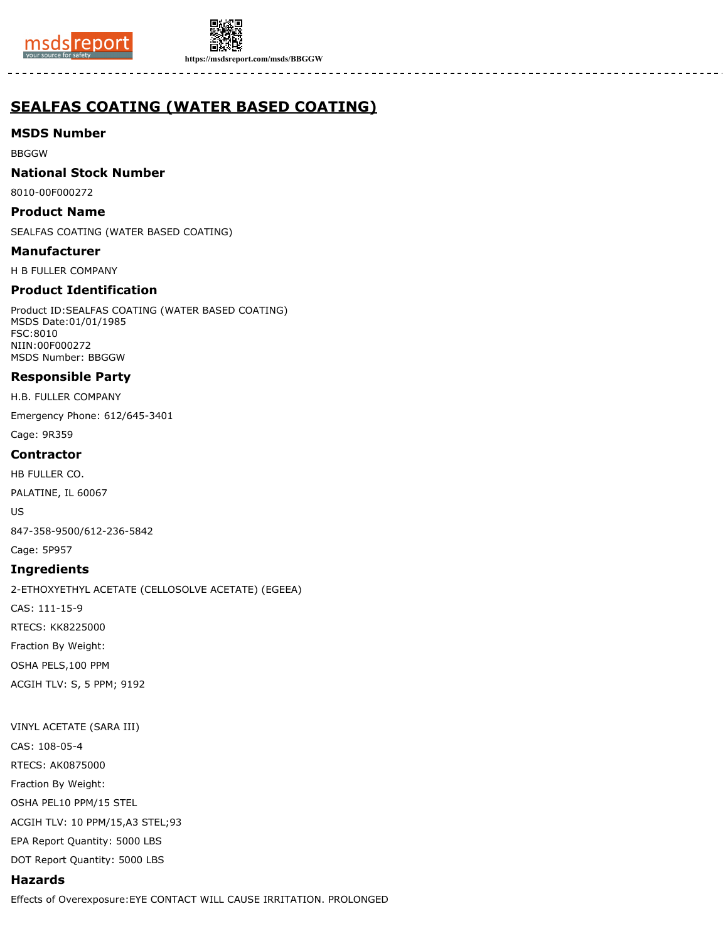



**https://msdsreport.com/msds/BBGGW**

# **SEALFAS COATING (WATER BASED COATING)**

### **MSDS Number**

BBGGW

### **National Stock Number**

8010-00F000272

### **Product Name**

SEALFAS COATING (WATER BASED COATING)

### **Manufacturer**

H B FULLER COMPANY

# **Product Identification**

Product ID:SEALFAS COATING (WATER BASED COATING) MSDS Date:01/01/1985 FSC:8010 NIIN:00F000272 MSDS Number: BBGGW

# **Responsible Party**

H.B. FULLER COMPANY

Emergency Phone: 612/645-3401

Cage: 9R359

### **Contractor**

HB FULLER CO.

PALATINE, IL 60067

US

847-358-9500/612-236-5842

Cage: 5P957

# **Ingredients**

2-ETHOXYETHYL ACETATE (CELLOSOLVE ACETATE) (EGEEA)

CAS: 111-15-9

RTECS: KK8225000

Fraction By Weight:

OSHA PELS,100 PPM

ACGIH TLV: S, 5 PPM; 9192

# VINYL ACETATE (SARA III) CAS: 108-05-4 RTECS: AK0875000 Fraction By Weight: OSHA PEL10 PPM/15 STEL

ACGIH TLV: 10 PPM/15,A3 STEL;93

EPA Report Quantity: 5000 LBS

DOT Report Quantity: 5000 LBS

# **Hazards**